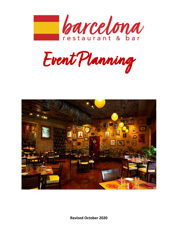

Event Planning



Revised October 2020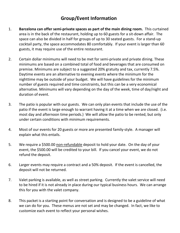### Group/Event Information

- 1. Barcelona can offer semi-private spaces as part of the main dining room. This curtained area is in the back of the restaurant, holding up to 60 guests for a sit-down affair. The space can also be divided in half for groups of up to 30 seated guests. For a stand-up cocktail party, the space accommodates 80 comfortably. If your event is larger than 60 guests, it may require use of the entire restaurant.
- 2. Certain dollar minimums will need to be met for semi-private and private dining. These minimums are based on a combined total of food and beverages that are consumed on premise. Minimums are subject to a suggested 20% gratuity and tax, currently 7.5%. Daytime events are an alternative to evening events where the minimum for the nighttime may be outside of your budget. We will have guidelines for the minimum number of guests required and time constraints, but this can be a very economical alternative. Minimums will vary depending on the day of the week, time of day/night and duration of event.
- 3. The patio is popular with our guests. We can only plan events that include the use of the patio if the event is large enough to warrant having it at a time when we are closed. (i.e. most day and afternoon time periods.) We will allow the patio to be rented, but only under certain conditions with minimum requirements.
- 4. Most of our events for 20 guests or more are presented family-style. A manager will explain what this entails.
- 5. We require a \$500.00 non-refundable deposit to hold your date. On the day of your event, the \$500.00 will be credited to your bill. If you cancel your event, we do not refund the deposit.
- 6. Larger events may require a contract and a 50% deposit. If the event is cancelled, the deposit will not be returned.
- 7. Valet parking is available, as well as street parking. Currently the valet service will need to be hired if it is not already in place during our typical business hours. We can arrange this for you with the valet company.
- 8. This packet is a starting point for conversation and is designed to be a guideline of what we can do for you. These menus are not set and may be changed. In fact, we like to customize each event to reflect your personal wishes.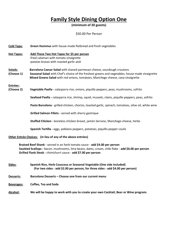# Family Style Dining Option One

(minimum of 20 guests)

\$50.00 Per Person

Cold Tapa: Green Hummus with house-made flatbread and fresh vegetables

Hot Tapas: Add These Two Hot Tapas for \$5 per person -fried calamari with tomato vinaigrette -patatas bravas with roasted garlic aioli

Salads: Barcelona Caesar Salad with shaved parmesan cheese, sourdough croutons **(Choose 1)** Seasonal Salad with Chef's choice of the freshest greens and vegetables, house made vinaigrette Mixed Greens Salad with red onions, tomatoes, Manchego cheese, cava vinaigrette

Entrées:

(Choose 2) Vegetable Paella - calasparra rice, onions, piquillo peppers, peas, mushrooms, sofrito

Seafood Paella - calasparra rice, shrimp, squid, mussels, clams, piquillo peppers, peas, sofrito

Pasta Barcelona - grilled chicken, chorizo, toasted garlic, spinach, tomatoes, olive oil, white wine

Grilled Salmon Fillets - served with sherry gastrique

Stuffed Chicken - boneless chicken breast, jamón Serrano, Manchego cheese, herbs

Spanish Tortilla - eggs, poblano peppers, potatoes, piquillo pepper coulis

Other Entrée Choices: (in lieu of any of the above entrées)

Braised Beef Shank - served in an herb tomato sauce - add \$4.00 per person Sautéed Scallops - bacon, mushrooms, lima beans, dates, cream, chile flake - add \$6.00 per person Grilled Flank Steak - chimichurri sauce - add \$7.00 per person

- Sides: Spanish Rice, Herb Couscous or Seasonal Vegetable (One side included) (For two sides - add \$2.00 per person, for three sides - add \$4.00 per person)
- Desserts: Barcelona Desserts Choose one from our current menu
- Beverages: Coffee, Tea and Soda
- Alcohol: We will be happy to work with you to create your own Cocktail, Beer or Wine program.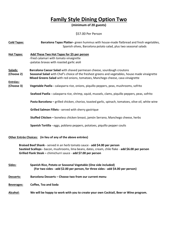# Family Style Dining Option Two

(minimum of 20 guests)

\$57.00 Per Person

| <b>Cold Tapas:</b>     | Barcelona Tapas Platter- green hummus with house-made flatbread and fresh vegetables,<br>Spanish olives, Barcelona potato salad, plus two seasonal salads                                                                                                                                                           |
|------------------------|---------------------------------------------------------------------------------------------------------------------------------------------------------------------------------------------------------------------------------------------------------------------------------------------------------------------|
| <b>Hot Tapas:</b>      | Add These Two Hot Tapas for \$5 per person<br>-fried calamari with tomato vinaigrette<br>-patatas bravas with roasted garlic aioli                                                                                                                                                                                  |
| Salads:<br>(Choose 2)  | Barcelona Caesar Salad with shaved parmesan cheese, sourdough croutons<br>Seasonal Salad with Chef's choice of the freshest greens and vegetables, house made vinaigrette<br>Mixed Greens Salad with red onions, tomatoes, Manchego cheese, cava vinaigrette                                                        |
| Entrées:<br>(Choose 3) | Vegetable Paella - calasparra rice, onions, piquillo peppers, peas, mushrooms, sofrito                                                                                                                                                                                                                              |
|                        | Seafood Paella - calasparra rice, shrimp, squid, mussels, clams, piquillo peppers, peas, sofrito                                                                                                                                                                                                                    |
|                        | Pasta Barcelona - grilled chicken, chorizo, toasted garlic, spinach, tomatoes, olive oil, white wine                                                                                                                                                                                                                |
|                        | Grilled Salmon Fillets - served with sherry gastrique                                                                                                                                                                                                                                                               |
|                        | Stuffed Chicken - boneless chicken breast, jamón Serrano, Manchego cheese, herbs                                                                                                                                                                                                                                    |
|                        | Spanish Tortilla - eggs, poblano peppers, potatoes, piquillo pepper coulis                                                                                                                                                                                                                                          |
|                        | Other Entrée Choices: (in lieu of any of the above entrées)<br>Braised Beef Shank - served in an herb tomato sauce - add \$4.00 per person<br>Sautéed Scallops - bacon, mushrooms, lima beans, dates, cream, chile flake - add \$6.00 per person<br>Grilled Flank Steak - chimichurri sauce - add \$7.00 per person |

- Sides: Spanish Rice, Potato or Seasonal Vegetable (One side included) (For two sides - add \$2.00 per person, for three sides - add \$4.00 per person)
- Desserts: Barcelona Desserts Choose two from our current menu
- Beverages: Coffee, Tea and Soda
- Alcohol: We will be happy to work with you to create your own Cocktail, Beer or Wine program.